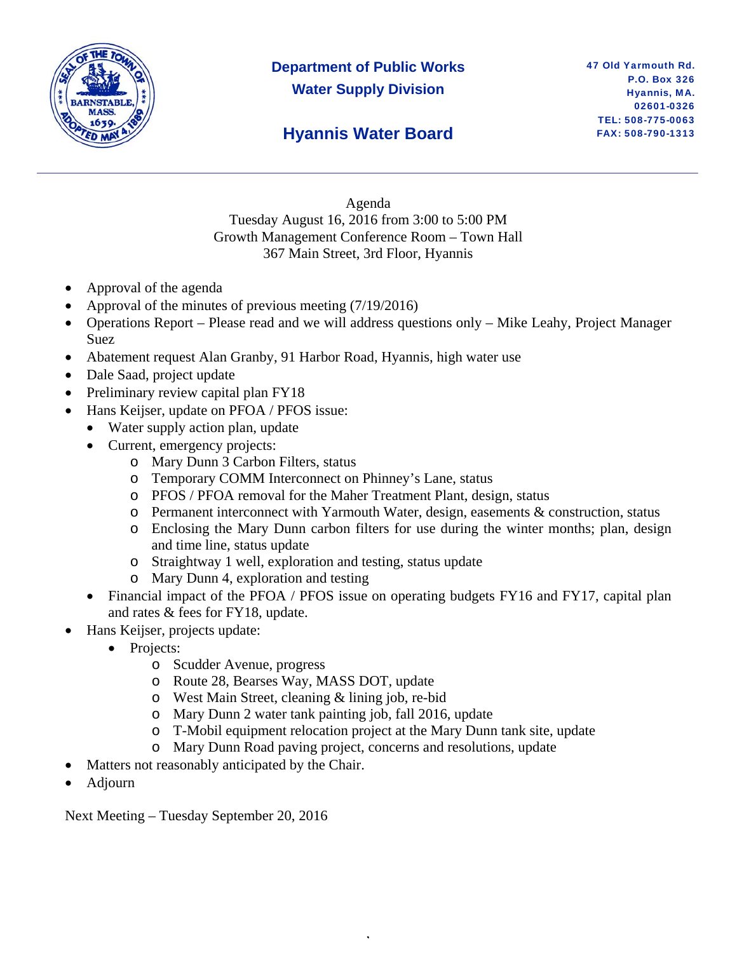

# **Department of Public Works Water Supply Division**

### **Hyannis Water Board**

Agenda Tuesday August 16, 2016 from 3:00 to 5:00 PM Growth Management Conference Room – Town Hall 367 Main Street, 3rd Floor, Hyannis

- Approval of the agenda
- Approval of the minutes of previous meeting (7/19/2016)
- Operations Report Please read and we will address questions only Mike Leahy, Project Manager Suez
- Abatement request Alan Granby, 91 Harbor Road, Hyannis, high water use
- Dale Saad, project update
- Preliminary review capital plan FY18
- Hans Keijser, update on PFOA / PFOS issue:
	- Water supply action plan, update
	- Current, emergency projects:
		- o Mary Dunn 3 Carbon Filters, status
		- o Temporary COMM Interconnect on Phinney's Lane, status
		- o PFOS / PFOA removal for the Maher Treatment Plant, design, status
		- $\circ$  Permanent interconnect with Yarmouth Water, design, easements & construction, status
		- o Enclosing the Mary Dunn carbon filters for use during the winter months; plan, design and time line, status update
		- o Straightway 1 well, exploration and testing, status update
		- o Mary Dunn 4, exploration and testing
	- Financial impact of the PFOA / PFOS issue on operating budgets FY16 and FY17, capital plan and rates & fees for FY18, update.
- Hans Keijser, projects update:
	- Projects:
		- o Scudder Avenue, progress
		- o Route 28, Bearses Way, MASS DOT, update
		- o West Main Street, cleaning & lining job, re-bid
		- o Mary Dunn 2 water tank painting job, fall 2016, update
		- o T-Mobil equipment relocation project at the Mary Dunn tank site, update

,

- o Mary Dunn Road paving project, concerns and resolutions, update
- Matters not reasonably anticipated by the Chair.
- Adjourn

Next Meeting – Tuesday September 20, 2016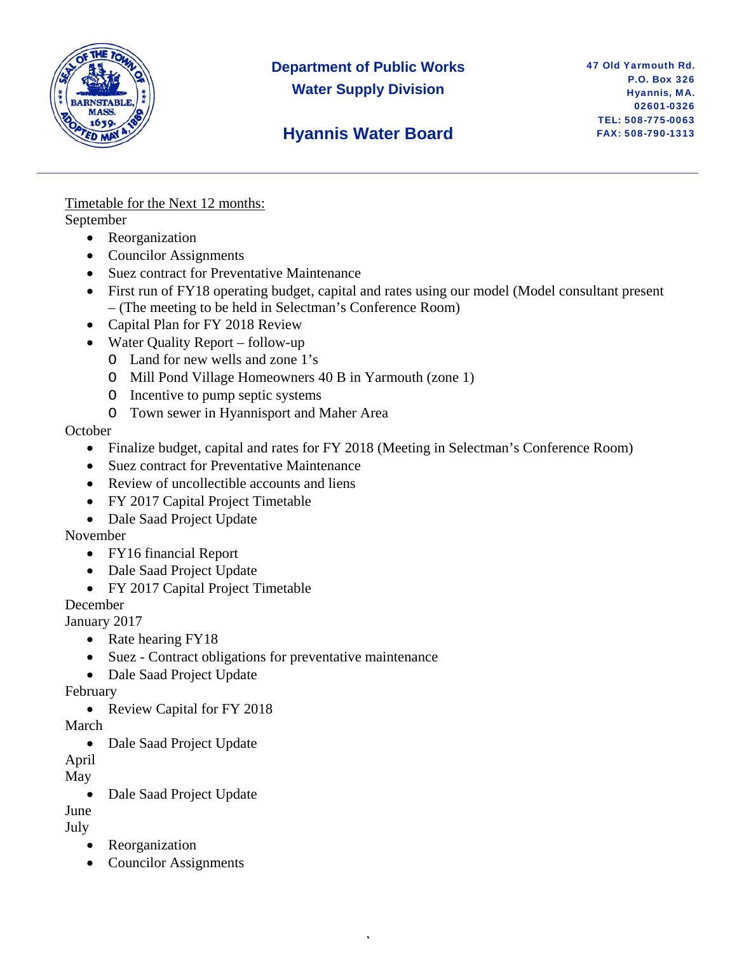

### **Department of Public Works Water Supply Division**

# **Hyannis Water Board**

Timetable for the Next 12 months: September

- Reorganization
- Councilor Assignments
- Suez contract for Preventative Maintenance
- First run of FY18 operating budget, capital and rates using our model (Model consultant present – (The meeting to be held in Selectman's Conference Room)
- Capital Plan for FY 2018 Review
- Water Quality Report follow-up
	- O Land for new wells and zone 1's
	- O Mill Pond Village Homeowners 40 B in Yarmouth (zone 1)
	- O Incentive to pump septic systems
	- O Town sewer in Hyannisport and Maher Area

### **October**

• Finalize budget, capital and rates for FY 2018 (Meeting in Selectman's Conference Room)

,

- Suez contract for Preventative Maintenance
- Review of uncollectible accounts and liens
- FY 2017 Capital Project Timetable
- Dale Saad Project Update

### November

- FY16 financial Report
- Dale Saad Project Update
- FY 2017 Capital Project Timetable

December

January 2017

- Rate hearing FY18
- Suez Contract obligations for preventative maintenance
- Dale Saad Project Update

### February

• Review Capital for FY 2018

March

• Dale Saad Project Update

April

### May

• Dale Saad Project Update

June

- July
	- Reorganization
	- Councilor Assignments